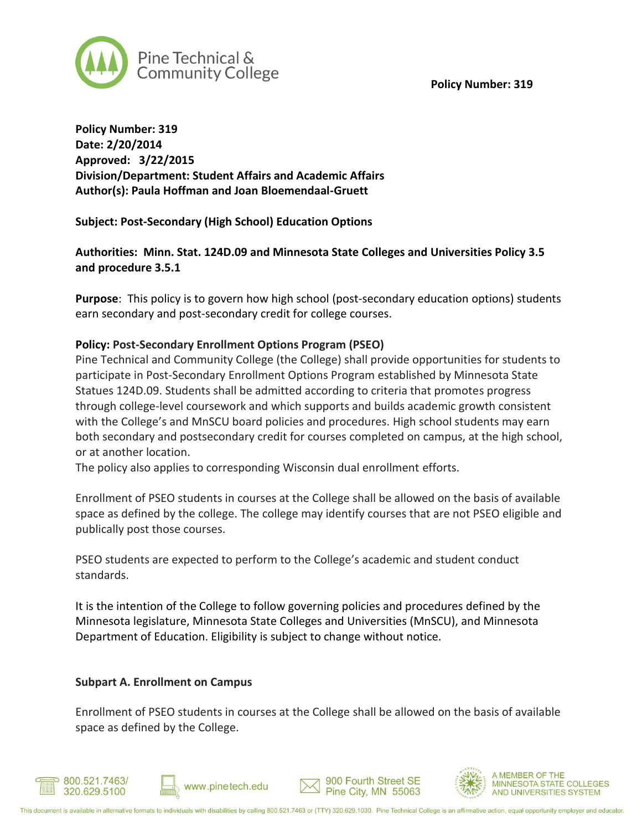**Policy Number: 319**



**Policy Number: 319 Date: 2/20/2014 Approved: 3/22/2015 Division/Department: Student Affairs and Academic Affairs Author(s): Paula Hoffman and Joan Bloemendaal-Gruett**

**Subject: Post-Secondary (High School) Education Options**

**Authorities: Minn. Stat. 124D.09 and Minnesota State Colleges and Universities Policy 3.5 and procedure 3.5.1**

**Purpose**: This policy is to govern how high school (post-secondary education options) students earn secondary and post-secondary credit for college courses.

#### **Policy: Post-Secondary Enrollment Options Program (PSEO)**

Pine Technical and Community College (the College) shall provide opportunities for students to participate in Post-Secondary Enrollment Options Program established by Minnesota State Statues 124D.09. Students shall be admitted according to criteria that promotes progress through college-level coursework and which supports and builds academic growth consistent with the College's and MnSCU board policies and procedures. High school students may earn both secondary and postsecondary credit for courses completed on campus, at the high school, or at another location.

The policy also applies to corresponding Wisconsin dual enrollment efforts.

Enrollment of PSEO students in courses at the College shall be allowed on the basis of available space as defined by the college. The college may identify courses that are not PSEO eligible and publically post those courses.

PSEO students are expected to perform to the College's academic and student conduct standards.

It is the intention of the College to follow governing policies and procedures defined by the Minnesota legislature, Minnesota State Colleges and Universities (MnSCU), and Minnesota Department of Education. Eligibility is subject to change without notice.

#### **Subpart A. Enrollment on Campus**

Enrollment of PSEO students in courses at the College shall be allowed on the basis of available space as defined by the College.